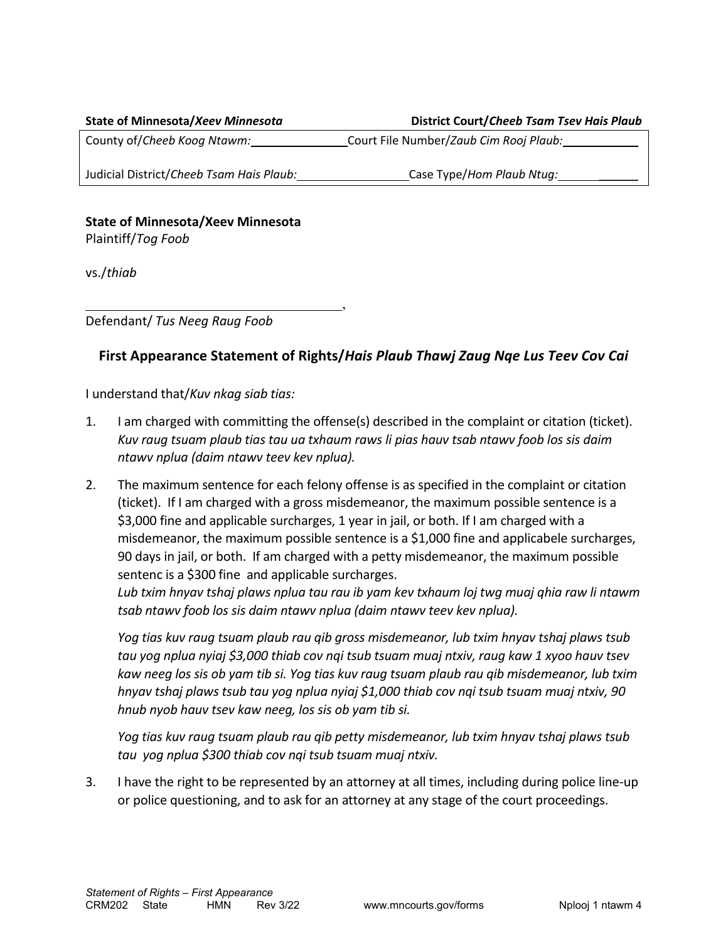| <b>State of Minnesota/Xeev Minnesota</b> | District Court/Cheeb Tsam Tsev Hais Plaub |
|------------------------------------------|-------------------------------------------|
| County of/Cheeb Koog Ntawm:              | Court File Number/Zaub Cim Rooj Plaub:    |
| Judicial District/Cheeb Tsam Hais Plaub: | Case Type/Hom Plaub Ntug:                 |
|                                          |                                           |

## **State of Minnesota/Xeev Minnesota**

Plaintiff/*Tog Foob*

vs./*thiab*

Defendant/ *Tus Neeg Raug Foob*

## **First Appearance Statement of Rights/***Hais Plaub Thawj Zaug Nqe Lus Teev Cov Cai*

,

I understand that/*Kuv nkag siab tias:*

- 1. I am charged with committing the offense(s) described in the complaint or citation (ticket). *Kuv raug tsuam plaub tias tau ua txhaum raws li pias hauv tsab ntawv foob los sis daim ntawv nplua (daim ntawv teev kev nplua).*
- 2. The maximum sentence for each felony offense is as specified in the complaint or citation (ticket). If I am charged with a gross misdemeanor, the maximum possible sentence is a \$3,000 fine and applicable surcharges, 1 year in jail, or both. If I am charged with a misdemeanor, the maximum possible sentence is a \$1,000 fine and applicabele surcharges, 90 days in jail, or both. If am charged with a petty misdemeanor, the maximum possible sentenc is a \$300 fine and applicable surcharges.

*Lub txim hnyav tshaj plaws nplua tau rau ib yam kev txhaum loj twg muaj qhia raw li ntawm tsab ntawv foob los sis daim ntawv nplua (daim ntawv teev kev nplua).*

*Yog tias kuv raug tsuam plaub rau qib gross misdemeanor, lub txim hnyav tshaj plaws tsub tau yog nplua nyiaj \$3,000 thiab cov nqi tsub tsuam muaj ntxiv, raug kaw 1 xyoo hauv tsev kaw neeg los sis ob yam tib si. Yog tias kuv raug tsuam plaub rau qib misdemeanor, lub txim hnyav tshaj plaws tsub tau yog nplua nyiaj \$1,000 thiab cov nqi tsub tsuam muaj ntxiv, 90 hnub nyob hauv tsev kaw neeg, los sis ob yam tib si.* 

*Yog tias kuv raug tsuam plaub rau qib petty misdemeanor, lub txim hnyav tshaj plaws tsub tau yog nplua \$300 thiab cov nqi tsub tsuam muaj ntxiv.*

3. I have the right to be represented by an attorney at all times, including during police line-up or police questioning, and to ask for an attorney at any stage of the court proceedings.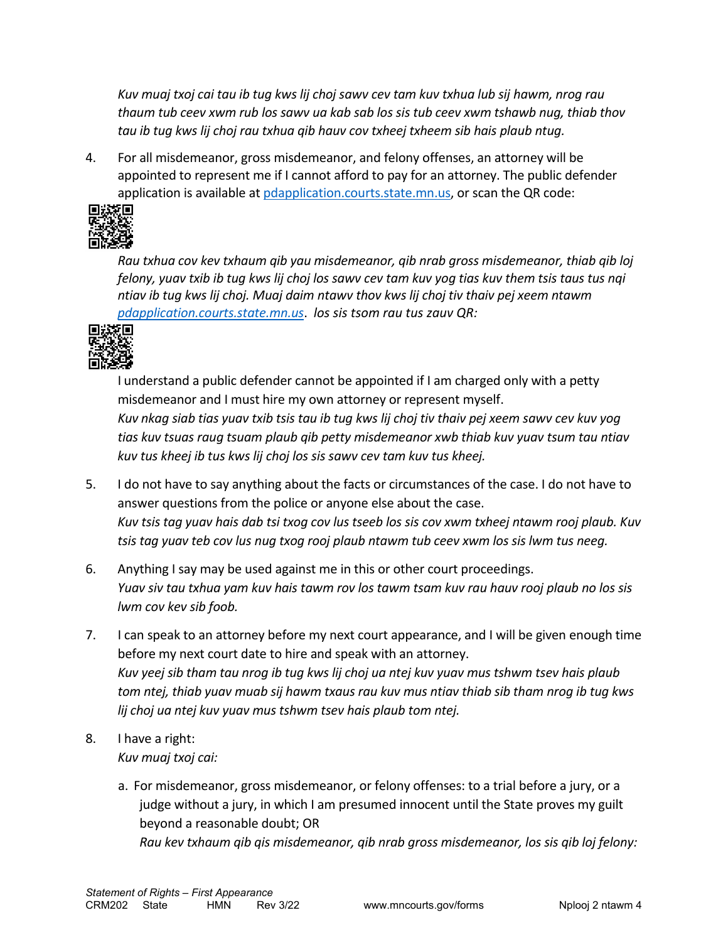*Kuv muaj txoj cai tau ib tug kws lij choj sawv cev tam kuv txhua lub sij hawm, nrog rau thaum tub ceev xwm rub los sawv ua kab sab los sis tub ceev xwm tshawb nug, thiab thov tau ib tug kws lij choj rau txhua qib hauv cov txheej txheem sib hais plaub ntug.*

4. For all misdemeanor, gross misdemeanor, and felony offenses, an attorney will be appointed to represent me if I cannot afford to pay for an attorney. The public defender application is available a[t pdapplication.courts.state.mn.us,](https://pdapplication.courts.state.mn.us/) or scan the QR code:



*Rau txhua cov kev txhaum qib yau misdemeanor, qib nrab gross misdemeanor, thiab qib loj felony, yuav txib ib tug kws lij choj los sawv cev tam kuv yog tias kuv them tsis taus tus nqi ntiav ib tug kws lij choj. Muaj daim ntawv thov kws lij choj tiv thaiv pej xeem ntawm [pdapplication.courts.state.mn.us](https://pdapplication.courts.state.mn.us/)*. *los sis tsom rau tus zauv QR:*



I understand a public defender cannot be appointed if I am charged only with a petty misdemeanor and I must hire my own attorney or represent myself. *Kuv nkag siab tias yuav txib tsis tau ib tug kws lij choj tiv thaiv pej xeem sawv cev kuv yog tias kuv tsuas raug tsuam plaub qib petty misdemeanor xwb thiab kuv yuav tsum tau ntiav kuv tus kheej ib tus kws lij choj los sis sawv cev tam kuv tus kheej.*

- 5. I do not have to say anything about the facts or circumstances of the case. I do not have to answer questions from the police or anyone else about the case. *Kuv tsis tag yuav hais dab tsi txog cov lus tseeb los sis cov xwm txheej ntawm rooj plaub. Kuv tsis tag yuav teb cov lus nug txog rooj plaub ntawm tub ceev xwm los sis lwm tus neeg.*
- 6. Anything I say may be used against me in this or other court proceedings. *Yuav siv tau txhua yam kuv hais tawm rov los tawm tsam kuv rau hauv rooj plaub no los sis lwm cov kev sib foob.*
- 7. I can speak to an attorney before my next court appearance, and I will be given enough time before my next court date to hire and speak with an attorney. *Kuv yeej sib tham tau nrog ib tug kws lij choj ua ntej kuv yuav mus tshwm tsev hais plaub tom ntej, thiab yuav muab sij hawm txaus rau kuv mus ntiav thiab sib tham nrog ib tug kws lij choj ua ntej kuv yuav mus tshwm tsev hais plaub tom ntej.*

## 8. I have a right: *Kuv muaj txoj cai:*

a. For misdemeanor, gross misdemeanor, or felony offenses: to a trial before a jury, or a judge without a jury, in which I am presumed innocent until the State proves my guilt beyond a reasonable doubt; OR *Rau kev txhaum qib qis misdemeanor, qib nrab gross misdemeanor, los sis qib loj felony:*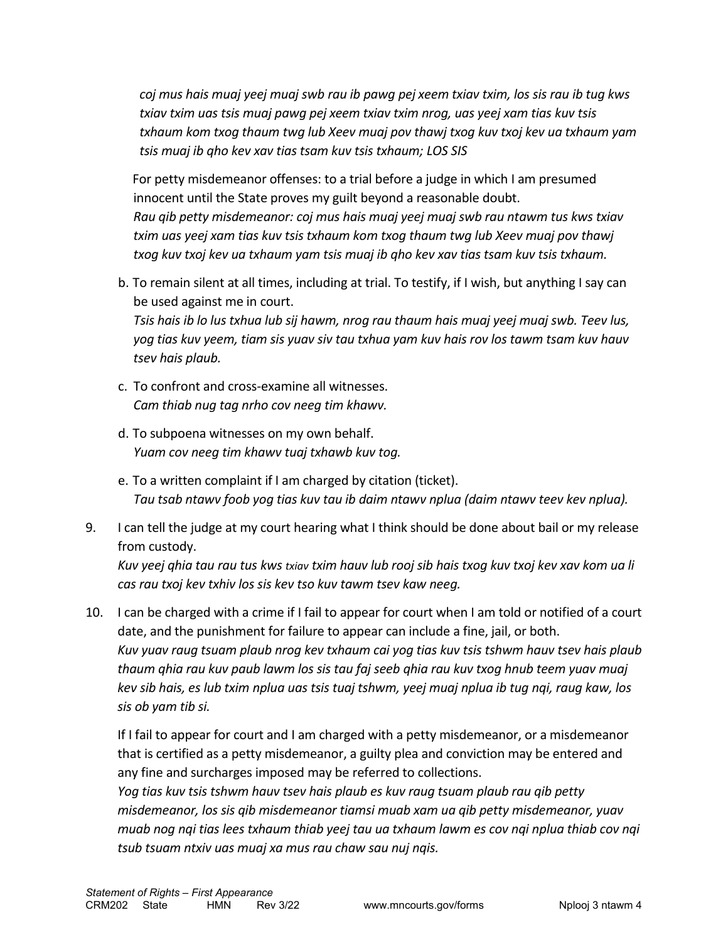*coj mus hais muaj yeej muaj swb rau ib pawg pej xeem txiav txim, los sis rau ib tug kws txiav txim uas tsis muaj pawg pej xeem txiav txim nrog, uas yeej xam tias kuv tsis txhaum kom txog thaum twg lub Xeev muaj pov thawj txog kuv txoj kev ua txhaum yam tsis muaj ib qho kev xav tias tsam kuv tsis txhaum; LOS SIS*

For petty misdemeanor offenses: to a trial before a judge in which I am presumed innocent until the State proves my guilt beyond a reasonable doubt. *Rau qib petty misdemeanor: coj mus hais muaj yeej muaj swb rau ntawm tus kws txiav txim uas yeej xam tias kuv tsis txhaum kom txog thaum twg lub Xeev muaj pov thawj txog kuv txoj kev ua txhaum yam tsis muaj ib qho kev xav tias tsam kuv tsis txhaum.*

b. To remain silent at all times, including at trial. To testify, if I wish, but anything I say can be used against me in court.

*Tsis hais ib lo lus txhua lub sij hawm, nrog rau thaum hais muaj yeej muaj swb. Teev lus, yog tias kuv yeem, tiam sis yuav siv tau txhua yam kuv hais rov los tawm tsam kuv hauv tsev hais plaub.*

- c. To confront and cross-examine all witnesses. *Cam thiab nug tag nrho cov neeg tim khawv.*
- d. To subpoena witnesses on my own behalf. *Yuam cov neeg tim khawv tuaj txhawb kuv tog.*
- e. To a written complaint if I am charged by citation (ticket). *Tau tsab ntawv foob yog tias kuv tau ib daim ntawv nplua (daim ntawv teev kev nplua).*
- 9. I can tell the judge at my court hearing what I think should be done about bail or my release from custody.

*Kuv yeej qhia tau rau tus kws txiav txim hauv lub rooj sib hais txog kuv txoj kev xav kom ua li cas rau txoj kev txhiv los sis kev tso kuv tawm tsev kaw neeg.*

10. I can be charged with a crime if I fail to appear for court when I am told or notified of a court date, and the punishment for failure to appear can include a fine, jail, or both. *Kuv yuav raug tsuam plaub nrog kev txhaum cai yog tias kuv tsis tshwm hauv tsev hais plaub thaum qhia rau kuv paub lawm los sis tau faj seeb qhia rau kuv txog hnub teem yuav muaj kev sib hais, es lub txim nplua uas tsis tuaj tshwm, yeej muaj nplua ib tug nqi, raug kaw, los sis ob yam tib si.*

If I fail to appear for court and I am charged with a petty misdemeanor, or a misdemeanor that is certified as a petty misdemeanor, a guilty plea and conviction may be entered and any fine and surcharges imposed may be referred to collections.

*Yog tias kuv tsis tshwm hauv tsev hais plaub es kuv raug tsuam plaub rau qib petty misdemeanor, los sis qib misdemeanor tiamsi muab xam ua qib petty misdemeanor, yuav muab nog nqi tias lees txhaum thiab yeej tau ua txhaum lawm es cov nqi nplua thiab cov nqi tsub tsuam ntxiv uas muaj xa mus rau chaw sau nuj nqis.*